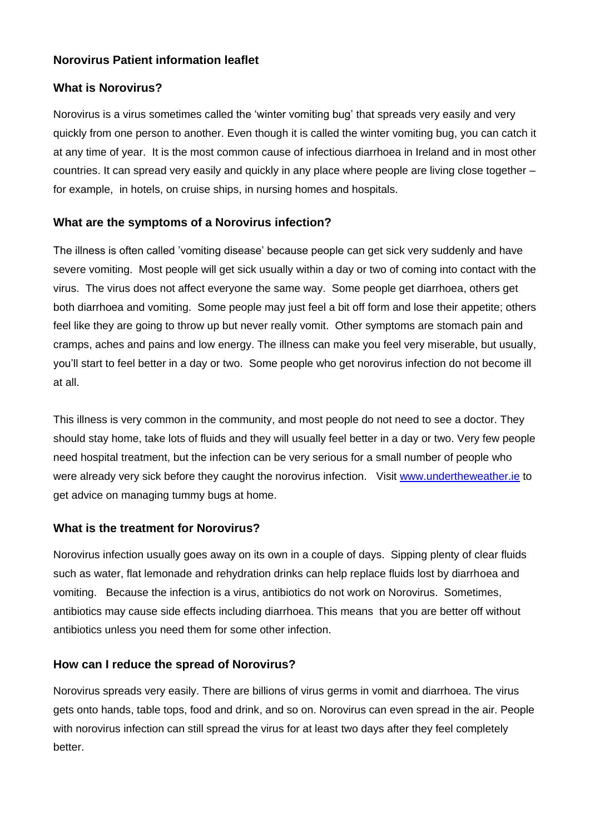# **Norovirus Patient information leaflet**

## **What is Norovirus?**

Norovirus is a virus sometimes called the 'winter vomiting bug' that spreads very easily and very quickly from one person to another. Even though it is called the winter vomiting bug, you can catch it at any time of year. It is the most common cause of infectious diarrhoea in Ireland and in most other countries. It can spread very easily and quickly in any place where people are living close together – for example, in hotels, on cruise ships, in nursing homes and hospitals.

# **What are the symptoms of a Norovirus infection?**

The illness is often called 'vomiting disease' because people can get sick very suddenly and have severe vomiting. Most people will get sick usually within a day or two of coming into contact with the virus. The virus does not affect everyone the same way. Some people get diarrhoea, others get both diarrhoea and vomiting. Some people may just feel a bit off form and lose their appetite; others feel like they are going to throw up but never really vomit. Other symptoms are stomach pain and cramps, aches and pains and low energy. The illness can make you feel very miserable, but usually, you'll start to feel better in a day or two. Some people who get norovirus infection do not become ill at all.

This illness is very common in the community, and most people do not need to see a doctor. They should stay home, take lots of fluids and they will usually feel better in a day or two. Very few people need hospital treatment, but the infection can be very serious for a small number of people who were already very sick before they caught the norovirus infection. Visit [www.undertheweather.ie](http://www.undertheweather.ie/) to get advice on managing tummy bugs at home.

## **What is the treatment for Norovirus?**

Norovirus infection usually goes away on its own in a couple of days. Sipping plenty of clear fluids such as water, flat lemonade and rehydration drinks can help replace fluids lost by diarrhoea and vomiting. Because the infection is a virus, antibiotics do not work on Norovirus. Sometimes, antibiotics may cause side effects including diarrhoea. This means that you are better off without antibiotics unless you need them for some other infection.

## **How can I reduce the spread of Norovirus?**

Norovirus spreads very easily. There are billions of virus germs in vomit and diarrhoea. The virus gets onto hands, table tops, food and drink, and so on. Norovirus can even spread in the air. People with norovirus infection can still spread the virus for at least two days after they feel completely better.